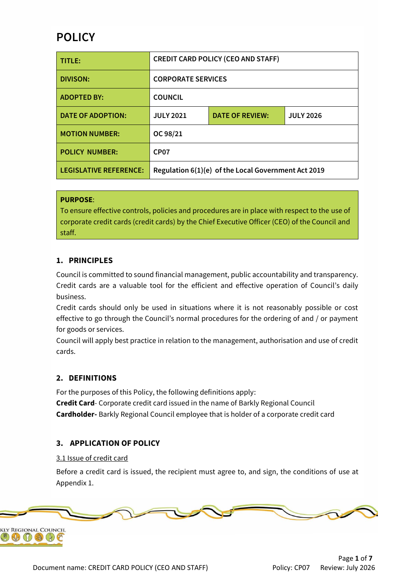# **POLICY**

| TITLE:                        | <b>CREDIT CARD POLICY (CEO AND STAFF)</b> |                                                     |                  |
|-------------------------------|-------------------------------------------|-----------------------------------------------------|------------------|
| <b>DIVISON:</b>               | <b>CORPORATE SERVICES</b>                 |                                                     |                  |
| <b>ADOPTED BY:</b>            | <b>COUNCIL</b>                            |                                                     |                  |
| <b>DATE OF ADOPTION:</b>      | <b>JULY 2021</b>                          | <b>DATE OF REVIEW:</b>                              | <b>JULY 2026</b> |
| <b>MOTION NUMBER:</b>         | OC 98/21                                  |                                                     |                  |
| <b>POLICY NUMBER:</b>         | CP <sub>07</sub>                          |                                                     |                  |
| <b>LEGISLATIVE REFERENCE:</b> |                                           | Regulation 6(1)(e) of the Local Government Act 2019 |                  |

#### **PURPOSE**:

To ensure effective controls, policies and procedures are in place with respect to the use of corporate credit cards (credit cards) by the Chief Executive Officer (CEO) of the Council and staff.

### **1. PRINCIPLES**

Council is committed to sound financial management, public accountability and transparency. Credit cards are a valuable tool for the efficient and effective operation of Council's daily business.

Credit cards should only be used in situations where it is not reasonably possible or cost effective to go through the Council's normal procedures for the ordering of and / or payment for goods or services.

Council will apply best practice in relation to the management, authorisation and use of credit cards.

#### **2. DEFINITIONS**

For the purposes of this Policy, the following definitions apply: **Credit Card**- Corporate credit card issued in the name of Barkly Regional Council **Cardholder-** Barkly Regional Council employee that is holder of a corporate credit card

# **3. APPLICATION OF POLICY**

#### 3.1 Issue of credit card

Before a credit card is issued, the recipient must agree to, and sign, the conditions of use at Appendix 1.

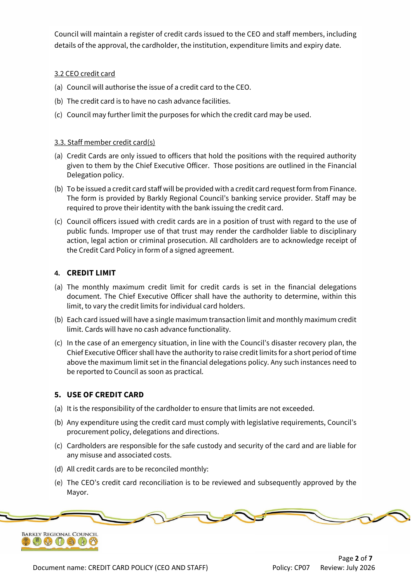Council will maintain a register of credit cards issued to the CEO and staff members, including details of the approval, the cardholder, the institution, expenditure limits and expiry date.

### 3.2 CEO credit card

- (a) Council will authorise the issue of a credit card to the CEO.
- (b) The credit card is to have no cash advance facilities.
- (c) Council may further limit the purposes for which the credit card may be used.

#### 3.3. Staff member credit card(s)

- (a) Credit Cards are only issued to officers that hold the positions with the required authority given to them by the Chief Executive Officer. Those positions are outlined in the Financial Delegation policy.
- (b) To be issued a credit card staff will be provided with a credit card request form from Finance. The form is provided by Barkly Regional Council's banking service provider. Staff may be required to prove their identity with the bank issuing the credit card.
- (c) Council officers issued with credit cards are in a position of trust with regard to the use of public funds. Improper use of that trust may render the cardholder liable to disciplinary action, legal action or criminal prosecution. All cardholders are to acknowledge receipt of the Credit Card Policy in form of a signed agreement.

### **4. CREDIT LIMIT**

- (a) The monthly maximum credit limit for credit cards is set in the financial delegations document. The Chief Executive Officer shall have the authority to determine, within this limit, to vary the credit limits for individual card holders.
- (b) Each card issued will have a single maximum transaction limit and monthly maximum credit limit. Cards will have no cash advance functionality.
- (c) In the case of an emergency situation, in line with the Council's disaster recovery plan, the Chief Executive Officer shall have the authority to raise credit limits for a short period of time above the maximum limit set in the financial delegations policy. Any such instances need to be reported to Council as soon as practical.

# **5. USE OF CREDIT CARD**

- (a) It is the responsibility of the cardholder to ensure that limits are not exceeded.
- (b) Any expenditure using the credit card must comply with legislative requirements, Council's procurement policy, delegations and directions.
- (c) Cardholders are responsible for the safe custody and security of the card and are liable for any misuse and associated costs.
- (d) All credit cards are to be reconciled monthly:
- (e) The CEO's credit card reconciliation is to be reviewed and subsequently approved by the Mayor.

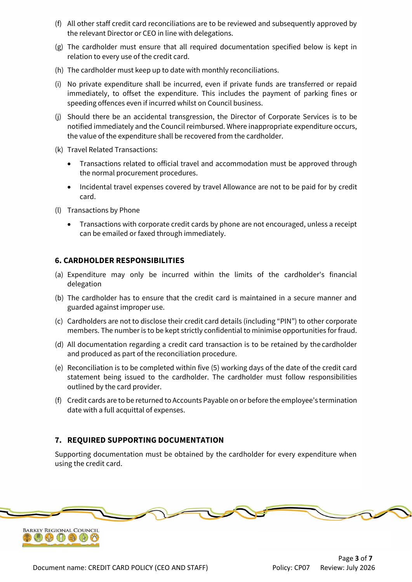- (f) All other staff credit card reconciliations are to be reviewed and subsequently approved by the relevant Director or CEO in line with delegations.
- (g) The cardholder must ensure that all required documentation specified below is kept in relation to every use of the credit card.
- (h) The cardholder must keep up to date with monthly reconciliations.
- (i) No private expenditure shall be incurred, even if private funds are transferred or repaid immediately, to offset the expenditure. This includes the payment of parking fines or speeding offences even if incurred whilst on Council business.
- (j) Should there be an accidental transgression, the Director of Corporate Services is to be notified immediately and the Council reimbursed. Where inappropriate expenditure occurs, the value of the expenditure shall be recovered from the cardholder.
- (k) Travel Related Transactions:
	- Transactions related to official travel and accommodation must be approved through the normal procurement procedures.
	- Incidental travel expenses covered by travel Allowance are not to be paid for by credit card.
- (l) Transactions by Phone
	- Transactions with corporate credit cards by phone are not encouraged, unless a receipt can be emailed or faxed through immediately.

#### **6. CARDHOLDER RESPONSIBILITIES**

- (a) Expenditure may only be incurred within the limits of the cardholder's financial delegation
- (b) The cardholder has to ensure that the credit card is maintained in a secure manner and guarded against improper use.
- (c) Cardholders are not to disclose their credit card details (including "PIN") to other corporate members. The number is to be kept strictly confidential to minimise opportunities for fraud.
- (d) All documentation regarding a credit card transaction is to be retained by the cardholder and produced as part of the reconciliation procedure.
- (e) Reconciliation is to be completed within five (5) working days of the date of the credit card statement being issued to the cardholder. The cardholder must follow responsibilities outlined by the card provider.
- (f) Credit cards are to be returned to Accounts Payable on or before the employee's termination date with a full acquittal of expenses.

# **7. REQUIRED SUPPORTING DOCUMENTATION**

Supporting documentation must be obtained by the cardholder for every expenditure when using the credit card.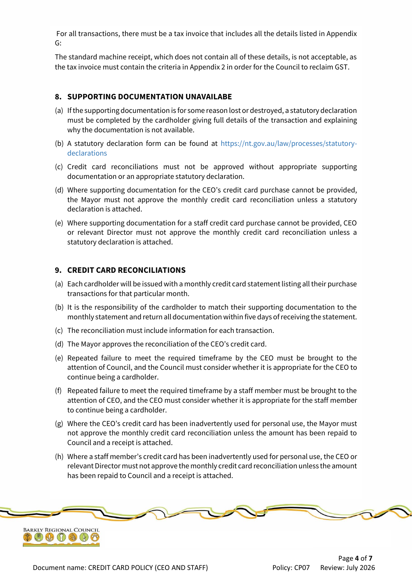For all transactions, there must be a tax invoice that includes all the details listed in Appendix G:

The standard machine receipt, which does not contain all of these details, is not acceptable, as the tax invoice must contain the criteria in Appendix 2 in order for the Council to reclaim GST.

#### **8. SUPPORTING DOCUMENTATION UNAVAILABE**

- (a) If the supporting documentation is for some reason lost or destroyed, a statutory declaration must be completed by the cardholder giving full details of the transaction and explaining why the documentation is not available.
- (b) A statutory declaration form can be found at [https://nt.gov.au/law/processes/statutory](https://nt.gov.au/law/processes/statutory-declarations)[declarations](https://nt.gov.au/law/processes/statutory-declarations)
- (c) Credit card reconciliations must not be approved without appropriate supporting documentation or an appropriate statutory declaration.
- (d) Where supporting documentation for the CEO's credit card purchase cannot be provided, the Mayor must not approve the monthly credit card reconciliation unless a statutory declaration is attached.
- (e) Where supporting documentation for a staff credit card purchase cannot be provided, CEO or relevant Director must not approve the monthly credit card reconciliation unless a statutory declaration is attached.

### **9. CREDIT CARD RECONCILIATIONS**

- (a) Each cardholder will be issued with a monthly credit card statement listing all their purchase transactions for that particular month.
- (b) It is the responsibility of the cardholder to match their supporting documentation to the monthly statement and return all documentation within five days of receiving the statement.
- (c) The reconciliation must include information for each transaction.
- (d) The Mayor approves the reconciliation of the CEO's credit card.
- (e) Repeated failure to meet the required timeframe by the CEO must be brought to the attention of Council, and the Council must consider whether it is appropriate for the CEO to continue being a cardholder.
- (f) Repeated failure to meet the required timeframe by a staff member must be brought to the attention of CEO, and the CEO must consider whether it is appropriate for the staff member to continue being a cardholder.
- (g) Where the CEO's credit card has been inadvertently used for personal use, the Mayor must not approve the monthly credit card reconciliation unless the amount has been repaid to Council and a receipt is attached.
- (h) Where a staff member's credit card has been inadvertently used for personal use, the CEO or relevant Director must not approve the monthly credit card reconciliation unless the amount has been repaid to Council and a receipt is attached.

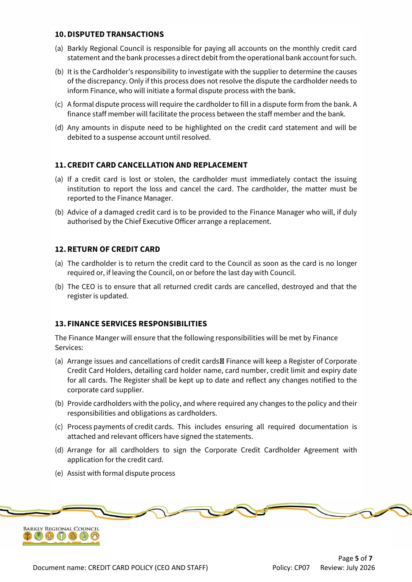#### **10.DISPUTED TRANSACTIONS**

- (a) Barkly Regional Council is responsible for paying all accounts on the monthly credit card statement and the bank processes a direct debit from the operational bank account for such.
- (b) It is the Cardholder's responsibility to investigate with the supplier to determine the causes of the discrepancy. Only if this process does not resolve the dispute the cardholder needs to inform Finance, who will initiate a formal dispute process with the bank.
- (c) A formal dispute process will require the cardholder to fill in a dispute form from the bank. A finance staff member will facilitate the process between the staff member and the bank.
- (d) Any amounts in dispute need to be highlighted on the credit card statement and will be debited to a suspense account until resolved.

# **11.CREDIT CARD CANCELLATION AND REPLACEMENT**

- (a) If a credit card is lost or stolen, the cardholder must immediately contact the issuing institution to report the loss and cancel the card. The cardholder, the matter must be reported to the Finance Manager.
- (b) Advice of a damaged credit card is to be provided to the Finance Manager who will, if duly authorised by the Chief Executive Officer arrange a replacement.

# **12.RETURN OF CREDIT CARD**

- (a) The cardholder is to return the credit card to the Council as soon as the card is no longer required or, if leaving the Council, on or before the last day with Council.
- (b) The CEO is to ensure that all returned credit cards are cancelled, destroyed and that the register is updated.

#### **13. FINANCE SERVICES RESPONSIBILITIES**

The Finance Manger will ensure that the following responsibilities will be met by Finance Services:

- (a) Arrange issues and cancellations of credit cards Finance will keep a Register of Corporate Credit Card Holders, detailing card holder name, card number, credit limit and expiry date for all cards. The Register shall be kept up to date and reflect any changes notified to the corporate card supplier.
- (b) Provide cardholders with the policy, and where required any changes to the policy and their responsibilities and obligations as cardholders.
- (c) Process payments of credit cards. This includes ensuring all required documentation is attached and relevant officers have signed the statements.
- (d) Arrange for all cardholders to sign the Corporate Credit Cardholder Agreement with application for the credit card.
- (e) Assist with formal dispute process

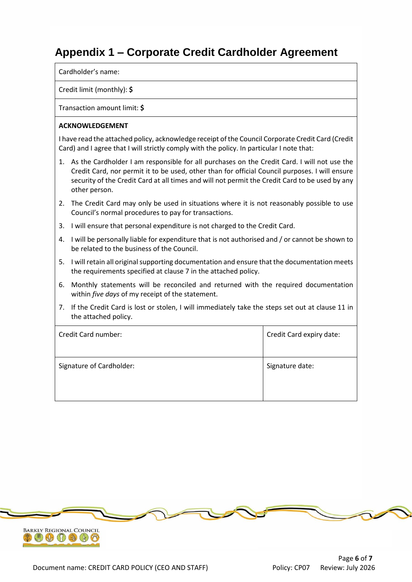# **Appendix 1 – Corporate Credit Cardholder Agreement**

Cardholder's name:

#### Credit limit (monthly): **\$**

Transaction amount limit: **\$**

#### **ACKNOWLEDGEMENT**

I have read the attached policy, acknowledge receipt of the Council Corporate Credit Card (Credit Card) and I agree that I will strictly comply with the policy. In particular I note that:

- 1. As the Cardholder I am responsible for all purchases on the Credit Card. I will not use the Credit Card, nor permit it to be used, other than for official Council purposes. I will ensure security of the Credit Card at all times and will not permit the Credit Card to be used by any other person.
- 2. The Credit Card may only be used in situations where it is not reasonably possible to use Council's normal procedures to pay for transactions.
- 3. I will ensure that personal expenditure is not charged to the Credit Card.
- 4. I will be personally liable for expenditure that is not authorised and / or cannot be shown to be related to the business of the Council.
- 5. I will retain all original supporting documentation and ensure that the documentation meets the requirements specified at clause 7 in the attached policy.
- 6. Monthly statements will be reconciled and returned with the required documentation within *five days* of my receipt of the statement.
- 7. If the Credit Card is lost or stolen, I will immediately take the steps set out at clause 11 in the attached policy.

| Credit Card number:      | Credit Card expiry date: |
|--------------------------|--------------------------|
| Signature of Cardholder: | Signature date:          |